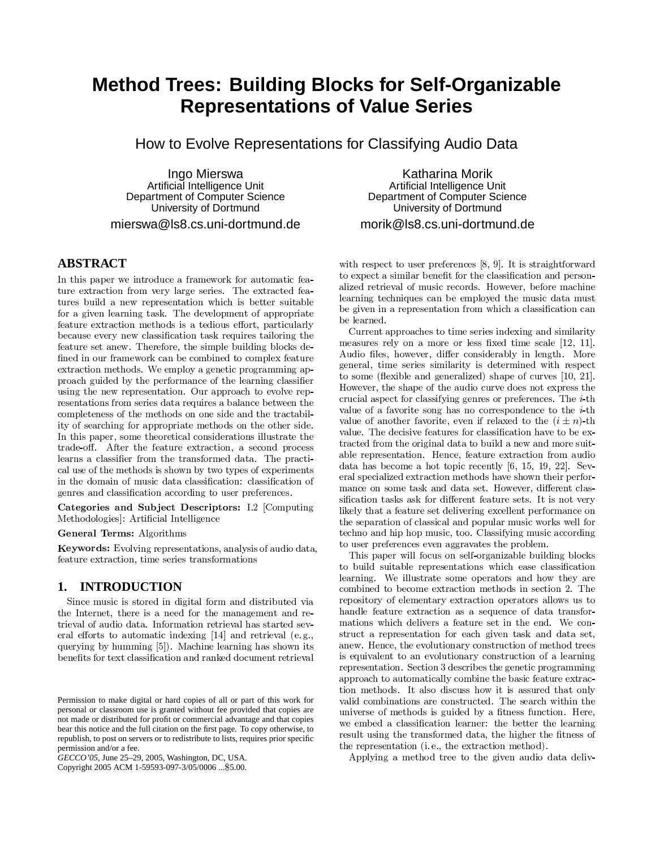# **Method Trees: Building Blocks for Self-Organizable Representations of Value Series**

How to Evolve Representations for Classifying Audio Data

Ingo Mierswa Artificial Intelligence Unit Department of Computer Science University of Dortmund mierswa@ls8.cs.uni-dortmund.de

Katharina Morik Artificial Intelligence Unit Department of Computer Science University of Dortmund morik@ls8.cs.uni-dortmund.de

# **ABSTRACT**

In this paper we introduce a framework for automatic feature extraction from very large series. The extracted features build a new representation which is better suitable for a given learning task. The development of appropriate feature extraction methods is a tedious effort, particularly because every new classification task requires tailoring the feature set anew. Therefore, the simple building blocks defined in our framework can be combined to complex feature extraction methods. We employ a genetic programming approach guided by the performance of the learning classifier using the new representation. Our approach to evolve representations from series data requires a balance between the completeness of the methods on one side and the tractability of searching for appropriate methods on the other side. In this paper, some theoretical considerations illustrate the trade-off. After the feature extraction, a second process learns a classifier from the transformed data. The practical use of the methods is shown by two types of experiments in the domain of music data classification: classification of genres and classification according to user preferences.

Categories and Subject Descriptors: I.2 [Computing Methodologies]: Artificial Intelligence

General Terms: Algorithms

Keywords: Evolving representations, analysis of audio data, feature extraction, time series transformations

### **INTRODUCTION** 1.

Since music is stored in digital form and distributed via the Internet, there is a need for the management and retrieval of audio data. Information retrieval has started several efforts to automatic indexing  $[14]$  and retrieval (e.g., querying by humming [5]). Machine learning has shown its benefits for text classification and ranked document retrieval

Copyright 2005 ACM 1-59593-097-3/05/0006 ... \$5.00.

with respect to user preferences  $[8, 9]$ . It is straightforward to expect a similar benefit for the classification and personalized retrieval of music records. However, before machine learning techniques can be employed the music data must be given in a representation from which a classification can be learned.

Current approaches to time series indexing and similarity measures rely on a more or less fixed time scale [12, 11]. Audio files, however, differ considerably in length. More general, time series similarity is determined with respect to some (flexible and generalized) shape of curves [10, 21]. However, the shape of the audio curve does not express the crucial aspect for classifying genres or preferences. The  $i$ -th value of a favorite song has no correspondence to the  $i$ -th value of another favorite, even if relaxed to the  $(i \pm n)$ -th value. The decisive features for classification have to be extracted from the original data to build a new and more suitable representation. Hence, feature extraction from audio data has become a hot topic recently  $[6, 15, 19, 22]$ . Several specialized extraction methods have shown their performance on some task and data set. However, different classification tasks ask for different feature sets. It is not very likely that a feature set delivering excellent performance on the separation of classical and popular music works well for techno and hip hop music, too. Classifying music according to user preferences even aggravates the problem.

This paper will focus on self-organizable building blocks to build suitable representations which ease classification learning. We illustrate some operators and how they are combined to become extraction methods in section 2. The repository of elementary extraction operators allows us to handle feature extraction as a sequence of data transformations which delivers a feature set in the end. We construct a representation for each given task and data set, anew. Hence, the evolutionary construction of method trees is equivalent to an evolutionary construction of a learning representation. Section 3 describes the genetic programming approach to automatically combine the basic feature extraction methods. It also discuss how it is assured that only valid combinations are constructed. The search within the universe of methods is guided by a fitness function. Here, we embed a classification learner: the better the learning result using the transformed data, the higher the fitness of the representation (i.e., the extraction method).

Applying a method tree to the given audio data deliv-

Permission to make digital or hard copies of all or part of this work for personal or classroom use is granted without fee provided that copies are not made or distributed for profit or commercial advantage and that copies bear this notice and the full citation on the first page. To copy otherwise, to republish, to post on servers or to redistribute to lists, requires prior specific permission and/or a fee.

GECCO'05, June 25-29, 2005, Washington, DC, USA.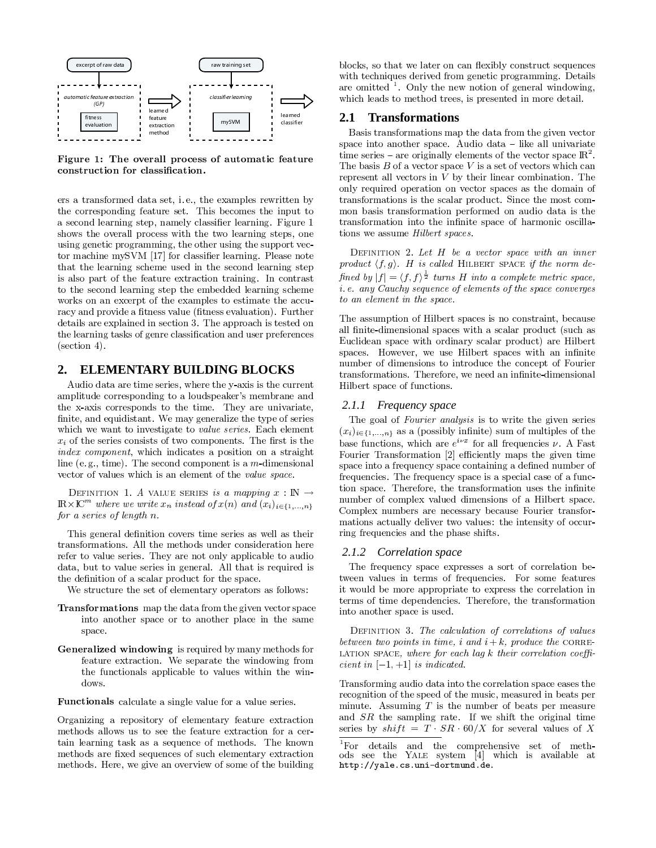

Figure 1: The overall process of automatic feature construction for classification.

ers a transformed data set, i.e., the examples rewritten by the corresponding feature set. This becomes the input to a second learning step, namely classifier learning. Figure 1 shows the overall process with the two learning steps, one using genetic programming, the other using the support vector machine mySVM [17] for classifier learning. Please note that the learning scheme used in the second learning step is also part of the feature extraction training. In contrast to the second learning step the embedded learning scheme works on an excerpt of the examples to estimate the accuracy and provide a fitness value (fitness evaluation). Further details are explained in section 3. The approach is tested on the learning tasks of genre classification and user preferences  $\left( \text{section } 4 \right)$ .

### **ELEMENTARY BUILDING BLOCKS**  $2.$

Audio data are time series, where the y-axis is the current amplitude corresponding to a loudspeaker's membrane and the x-axis corresponds to the time. They are univariate, finite, and equidistant. We may generalize the type of series which we want to investigate to *value series*. Each element  $x_i$  of the series consists of two components. The first is the *index component*, which indicates a position on a straight line (e.g., time). The second component is a  $m$ -dimensional vector of values which is an element of the *value space*.

DEFINITION 1. A VALUE SERIES is a mapping  $x : \mathbb{N} \to$  $\mathbb{R}\times\mathbb{C}^m$  where we write  $x_n$  instead of  $x(n)$  and  $(x_i)_{i\in\{1,...,n\}}$ for a series of length  $n$ .

This general definition covers time series as well as their transformations. All the methods under consideration here refer to value series. They are not only applicable to audio data, but to value series in general. All that is required is the definition of a scalar product for the space.

We structure the set of elementary operators as follows:

- Transformations map the data from the given vector space into another space or to another place in the same space.
- Generalized windowing is required by many methods for feature extraction. We separate the windowing from the functionals applicable to values within the windows.

Functionals calculate a single value for a value series.

Organizing a repository of elementary feature extraction methods allows us to see the feature extraction for a certain learning task as a sequence of methods. The known methods are fixed sequences of such elementary extraction methods. Here, we give an overview of some of the building blocks, so that we later on can flexibly construct sequences with techniques derived from genetic programming. Details are omitted  $\frac{1}{1}$ . Only the new notion of general windowing, which leads to method trees, is presented in more detail.

### **Transformations 2.1**

Basis transformations map the data from the given vector space into another space. Audio data  $-$  like all univariate time series – are originally elements of the vector space  $\mathbb{R}^2$ . The basis  $B$  of a vector space  $V$  is a set of vectors which can represent all vectors in  $V$  by their linear combination. The only required operation on vector spaces as the domain of transformations is the scalar product. Since the most common basis transformation performed on audio data is the transformation into the infinite space of harmonic oscillations we assume *Hilbert spaces*.

DEFINITION 2. Let  $H$  be a vector space with an inner product  $\langle f, g \rangle$ . H is called HILBERT SPACE if the norm defined by  $|f| = \langle f, f \rangle^{\frac{1}{2}}$  turns H into a complete metric space, *i.e.* any Cauchy sequence of elements of the space converges to an element in the space.

The assumption of Hilbert spaces is no constraint, because all finite-dimensional spaces with a scalar product (such as Euclidean space with ordinary scalar product) are Hilbert spaces. However, we use Hilbert spaces with an infinite number of dimensions to introduce the concept of Fourier transformations. Therefore, we need an infinite-dimensional Hilbert space of functions.

# 2.1.1 Frequency space

The goal of Fourier analysis is to write the given series  $(x_i)_{i \in \{1,...,n\}}$  as a (possibly infinite) sum of multiples of the base functions, which are  $e^{i\nu x}$  for all frequencies  $\nu$ . A Fast Fourier Transformation [2] efficiently maps the given time space into a frequency space containing a defined number of frequencies. The frequency space is a special case of a function space. Therefore, the transformation uses the infinite number of complex valued dimensions of a Hilbert space. Complex numbers are necessary because Fourier transformations actually deliver two values: the intensity of occurring frequencies and the phase shifts.

### 2.1.2 Correlation space

The frequency space expresses a sort of correlation between values in terms of frequencies. For some features it would be more appropriate to express the correlation in terms of time dependencies. Therefore, the transformation into another space is used.

DEFINITION 3. The calculation of correlations of values between two points in time, i and  $i + k$ , produce the CORRE-LATION SPACE, where for each lag  $k$  their correlation coefficient in  $[-1, +1]$  is indicated.

Transforming audio data into the correlation space eases the recognition of the speed of the music, measured in beats per minute. Assuming  $T$  is the number of beats per measure and  $SR$  the sampling rate. If we shift the original time series by  $shift = T \cdot SR \cdot 60/X$  for several values of X

 ${}^{1}$ For details and the comprehensive set of methods see the YALE system [4] which is available at http://yale.cs.uni-dortmund.de.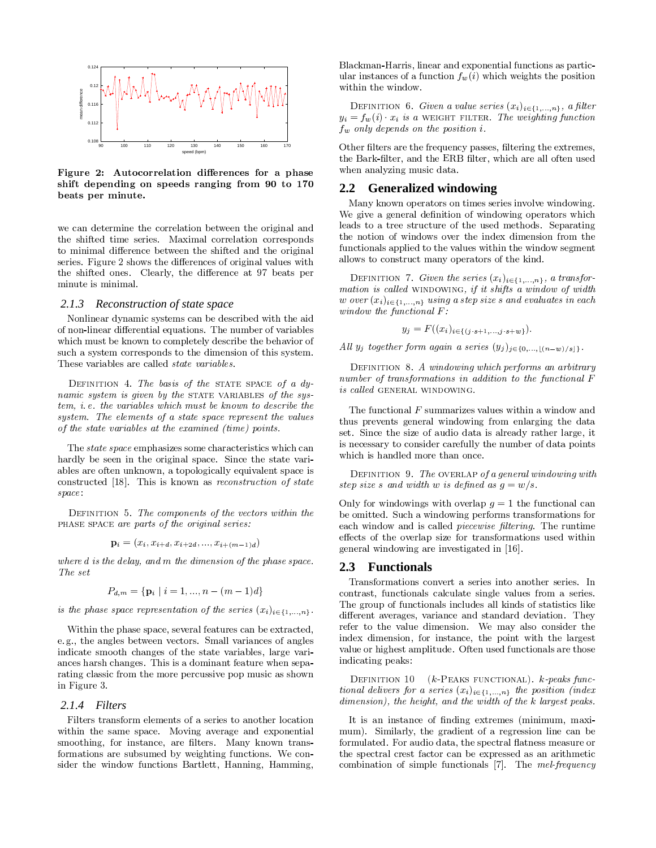

Figure 2: Autocorrelation differences for a phase shift depending on speeds ranging from 90 to 170 beats per minute.

we can determine the correlation between the original and the shifted time series. Maximal correlation corresponds to minimal difference between the shifted and the original series. Figure 2 shows the differences of original values with the shifted ones. Clearly, the difference at 97 beats per minute is minimal.

### 2.1.3 Reconstruction of state space

Nonlinear dynamic systems can be described with the aid of non-linear differential equations. The number of variables which must be known to completely describe the behavior of such a system corresponds to the dimension of this system. These variables are called *state variables*.

DEFINITION 4. The basis of the STATE SPACE of a dynamic system is given by the STATE VARIABLES of the sys $tem, i. e.$  the variables which must be known to describe the system. The elements of a state space represent the values of the state variables at the examined (time) points.

The *state space* emphasizes some characteristics which can hardly be seen in the original space. Since the state variables are often unknown, a topologically equivalent space is constructed [18]. This is known as *reconstruction of state* space:

DEFINITION 5. The components of the vectors within the PHASE SPACE are parts of the original series:

$$
\mathbf{p}_i = (x_i, x_{i+d}, x_{i+2d}, ..., x_{i+(m-1)d})
$$

where  $d$  is the delay, and  $m$  the dimension of the phase space. The set

$$
P_{d,m} = \{ \mathbf{p}_i \mid i = 1, ..., n - (m-1)d \}
$$

is the phase space representation of the series  $(x_i)_{i \in \{1,...,n\}}$ .

Within the phase space, several features can be extracted, e.g., the angles between vectors. Small variances of angles indicate smooth changes of the state variables, large variances harsh changes. This is a dominant feature when separating classic from the more percussive pop music as shown in Figure 3.

# 2.1.4 Filters

Filters transform elements of a series to another location within the same space. Moving average and exponential smoothing, for instance, are filters. Many known transformations are subsumed by weighting functions. We consider the window functions Bartlett, Hanning, Hamming,

Blackman-Harris, linear and exponential functions as particular instances of a function  $f_w(i)$  which weights the position within the window.

DEFINITION 6. Given a value series  $(x_i)_{i \in \{1,...,n\}}$ , a filter  $y_i = f_w(i) \cdot x_i$  is a WEIGHT FILTER. The weighting function  $f_w$  only depends on the position i.

Other filters are the frequency passes, filtering the extremes, the Bark-filter, and the ERB filter, which are all often used when analyzing music data.

# 2.2 Generalized windowing

Many known operators on times series involve windowing. We give a general definition of windowing operators which leads to a tree structure of the used methods. Separating the notion of windows over the index dimension from the functionals applied to the values within the window segment allows to construct many operators of the kind.

DEFINITION 7. Given the series  $(x_i)_{i \in \{1,...,n\}}$ , a transformation is called WINDOWING, if it shifts a window of width w over  $(x_i)_{i \in \{1,...,n\}}$  using a step size s and evaluates in each  $window$  the functional  $F$ :

$$
y_j = F((x_i)_{i \in \{(j \cdot s + 1, \dots, j \cdot s + w\})}).
$$

All  $y_i$  together form again a series  $(y_j)_{j \in \{0,\ldots,\lfloor (n-w)/s \rfloor\}}$ .

DEFINITION 8. A windowing which performs an arbitrary number of transformations in addition to the functional F is called GENERAL WINDOWING.

The functional  $F$  summarizes values within a window and thus prevents general windowing from enlarging the data set. Since the size of audio data is already rather large, it is necessary to consider carefully the number of data points which is handled more than once.

DEFINITION 9. The OVERLAP of a general windowing with step size s and width w is defined as  $q = w/s$ .

Only for windowings with overlap  $g = 1$  the functional can be omitted. Such a windowing performs transformations for each window and is called *piecewise filtering*. The runtime effects of the overlap size for transformations used within general windowing are investigated in [16].

#### $2.3$ **Functionals**

Transformations convert a series into another series. In contrast, functionals calculate single values from a series The group of functionals includes all kinds of statistics like different averages, variance and standard deviation. They refer to the value dimension. We may also consider the index dimension, for instance, the point with the largest value or highest amplitude. Often used functionals are those indicating peaks:

DEFINITION 10  $(k$ -PEAKS FUNCTIONAL).  $k$ -peaks functional delivers for a series  $(x_i)_{i \in \{1,...,n\}}$  the position (index  $dimension$ , the height, and the width of the  $k$  largest peaks.

It is an instance of finding extremes (minimum, maximum). Similarly, the gradient of a regression line can be formulated. For audio data, the spectral flatness measure or the spectral crest factor can be expressed as an arithmetic combination of simple functionals [7]. The mel-frequency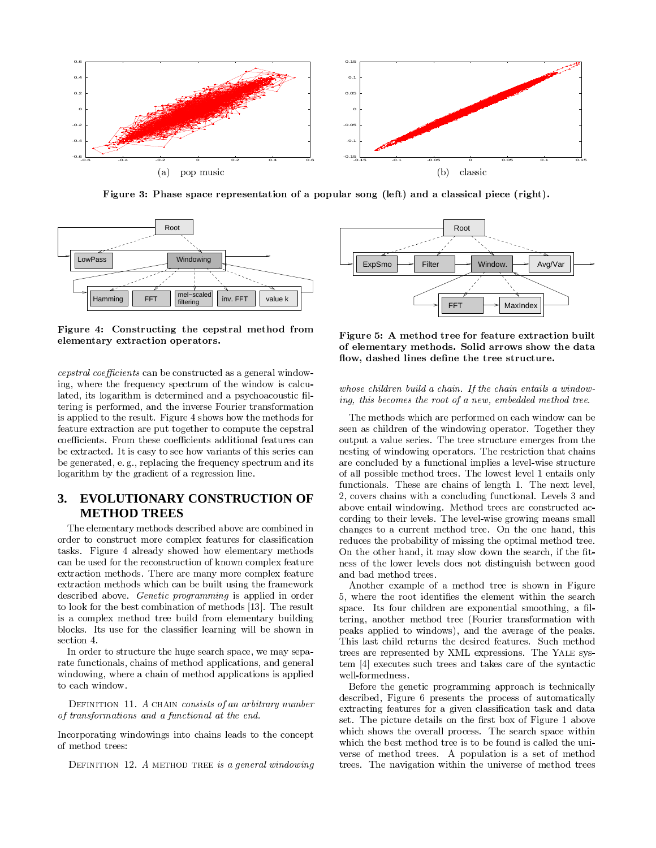

Figure 3: Phase space representation of a popular song (left) and a classical piece (right).



Figure 4: Constructing the cepstral method from elementary extraction operators.

*cepstral coefficients* can be constructed as a general windowing, where the frequency spectrum of the window is calculated, its logarithm is determined and a psychoacoustic filtering is performed, and the inverse Fourier transformation is applied to the result. Figure 4 shows how the methods for feature extraction are put together to compute the cepstral coefficients. From these coefficients additional features can be extracted. It is easy to see how variants of this series can be generated, e.g., replacing the frequency spectrum and its logarithm by the gradient of a regression line.

### **EVOLUTIONARY CONSTRUCTION OF** 3. **METHOD TREES**

The elementary methods described above are combined in order to construct more complex features for classification tasks. Figure 4 already showed how elementary methods can be used for the reconstruction of known complex feature extraction methods. There are many more complex feature extraction methods which can be built using the framework described above. Genetic programming is applied in order to look for the best combination of methods [13]. The result is a complex method tree build from elementary building blocks. Its use for the classifier learning will be shown in section 4.

In order to structure the huge search space, we may separate functionals, chains of method applications, and general windowing, where a chain of method applications is applied to each window.

DEFINITION 11. A CHAIN consists of an arbitrary number of transformations and a functional at the end.

Incorporating windowings into chains leads to the concept of method trees

DEFINITION 12. A METHOD TREE is a general windowing



Figure 5: A method tree for feature extraction built of elementary methods. Solid arrows show the data flow, dashed lines define the tree structure.

# whose children build a chain. If the chain entails a windowing, this becomes the root of a new, embedded method tree.

The methods which are performed on each window can be seen as children of the windowing operator. Together they output a value series. The tree structure emerges from the nesting of windowing operators. The restriction that chains are concluded by a functional implies a level-wise structure of all possible method trees. The lowest level 1 entails only functionals. These are chains of length 1. The next level, 2, covers chains with a concluding functional. Levels 3 and above entail windowing. Method trees are constructed according to their levels. The level-wise growing means small changes to a current method tree. On the one hand, this reduces the probability of missing the optimal method tree. On the other hand, it may slow down the search, if the fitness of the lower levels does not distinguish between good and bad method trees.

Another example of a method tree is shown in Figure 5, where the root identifies the element within the search space. Its four children are exponential smoothing, a filtering, another method tree (Fourier transformation with peaks applied to windows), and the average of the peaks. This last child returns the desired features. Such method trees are represented by XML expressions. The YALE system [4] executes such trees and takes care of the syntactic well-formedness.

Before the genetic programming approach is technically described, Figure 6 presents the process of automatically extracting features for a given classification task and data set. The picture details on the first box of Figure 1 above which shows the overall process. The search space within which the best method tree is to be found is called the universe of method trees. A population is a set of method trees. The navigation within the universe of method trees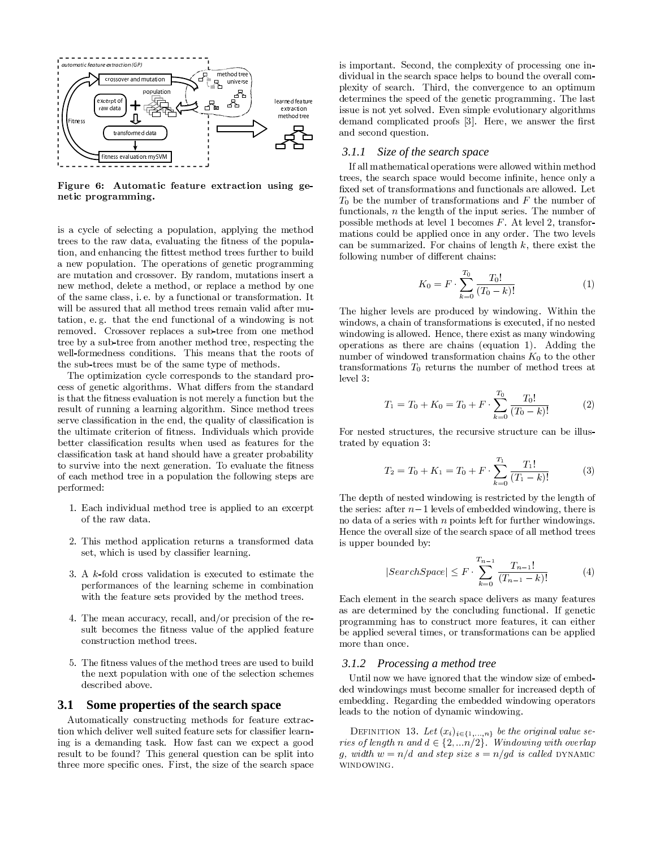

Figure 6: Automatic feature extraction using genetic programming.

is a cycle of selecting a population, applying the method trees to the raw data, evaluating the fitness of the population, and enhancing the fittest method trees further to build a new population. The operations of genetic programming are mutation and crossover. By random, mutations insert a new method, delete a method, or replace a method by one of the same class, i.e. by a functional or transformation. It will be assured that all method trees remain valid after mutation, e.g. that the end functional of a windowing is not removed. Crossover replaces a sub-tree from one method tree by a sub-tree from another method tree, respecting the well-formedness conditions. This means that the roots of the sub-trees must be of the same type of methods.

The optimization cycle corresponds to the standard process of genetic algorithms. What differs from the standard is that the fitness evaluation is not merely a function but the result of running a learning algorithm. Since method trees serve classification in the end, the quality of classification is the ultimate criterion of fitness. Individuals which provide better classification results when used as features for the classification task at hand should have a greater probability to survive into the next generation. To evaluate the fitness of each method tree in a population the following steps are performed:

- 1. Each individual method tree is applied to an excerpt of the raw data.
- 2. This method application returns a transformed data set, which is used by classifier learning.
- 3. A  $k$ -fold cross validation is executed to estimate the performances of the learning scheme in combination with the feature sets provided by the method trees.
- 4. The mean accuracy, recall, and/or precision of the result becomes the fitness value of the applied feature construction method trees.
- 5. The fitness values of the method trees are used to build the next population with one of the selection schemes described above.

### Some properties of the search space  $3.1$

Automatically constructing methods for feature extraction which deliver well suited feature sets for classifier learning is a demanding task. How fast can we expect a good result to be found? This general question can be split into three more specific ones. First, the size of the search space

is important. Second, the complexity of processing one individual in the search space helps to bound the overall complexity of search. Third, the convergence to an optimum determines the speed of the genetic programming. The last issue is not yet solved. Even simple evolutionary algorithms demand complicated proofs [3]. Here, we answer the first and second question.

# 3.1.1 Size of the search space

If all mathematical operations were allowed within method trees, the search space would become infinite, hence only a fixed set of transformations and functionals are allowed. Let  $T_0$  be the number of transformations and F the number of functionals,  $n$  the length of the input series. The number of possible methods at level 1 becomes  $F$ . At level 2, transformations could be applied once in any order. The two levels can be summarized. For chains of length  $k$ , there exist the following number of different chains:

$$
K_0 = F \cdot \sum_{k=0}^{T_0} \frac{T_0!}{(T_0 - k)!} \tag{1}
$$

The higher levels are produced by windowing. Within the windows, a chain of transformations is executed, if no nested windowing is allowed. Hence, there exist as many windowing operations as there are chains (equation 1). Adding the number of windowed transformation chains  $K_0$  to the other transformations  $T_0$  returns the number of method trees at level 3:

$$
T_1 = T_0 + K_0 = T_0 + F \cdot \sum_{k=0}^{T_0} \frac{T_0!}{(T_0 - k)!} \tag{2}
$$

For nested structures, the recursive structure can be illustrated by equation 3:

$$
T_2 = T_0 + K_1 = T_0 + F \cdot \sum_{k=0}^{T_1} \frac{T_1!}{(T_1 - k)!}
$$
 (3)

The depth of nested windowing is restricted by the length of the series: after  $n-1$  levels of embedded windowing, there is no data of a series with  $n$  points left for further windowings Hence the overall size of the search space of all method trees is upper bounded by:

$$
|SearchSpace| \le F \cdot \sum_{k=0}^{T_{n-1}} \frac{T_{n-1}!}{(T_{n-1} - k)!} \tag{4}
$$

Each element in the search space delivers as many features as are determined by the concluding functional. If genetic programming has to construct more features, it can either be applied several times, or transformations can be applied more than once.

### 3.1.2 Processing a method tree

Until now we have ignored that the window size of embedded windowings must become smaller for increased depth of embedding. Regarding the embedded windowing operators leads to the notion of dynamic windowing.

DEFINITION 13. Let  $(x_i)_{i \in \{1,...,n\}}$  be the original value series of length n and  $d \in \{2,...n/2\}$ . Windowing with overlap g, width  $w = n/d$  and step size  $s = n/gd$  is called DYNAMIC WINDOWING.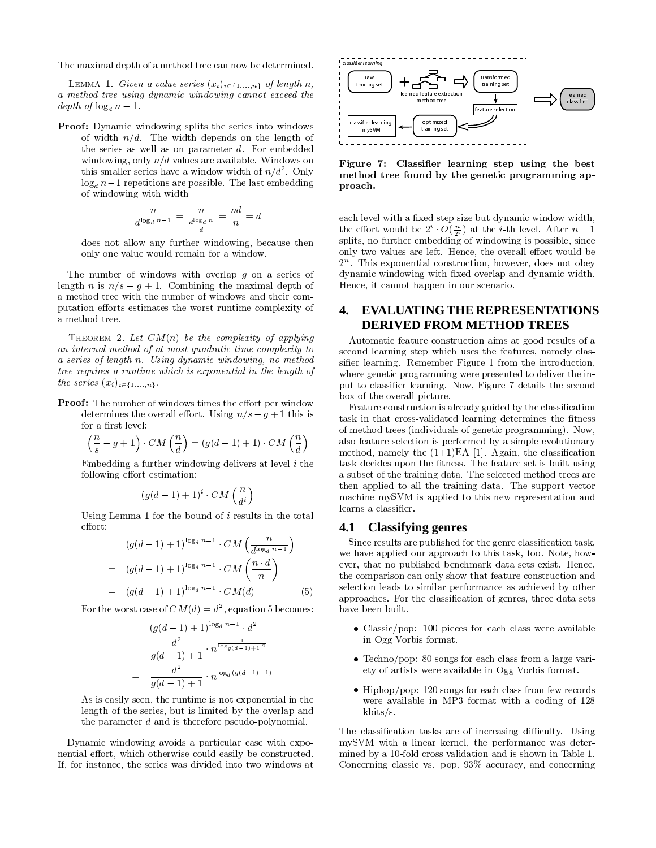The maximal depth of a method tree can now be determined.

LEMMA 1. Given a value series  $(x_i)_{i \in \{1,...,n\}}$  of length n, a method tree using dynamic windowing cannot exceed the depth of  $\log_d n - 1$ .

Proof: Dynamic windowing splits the series into windows of width  $n/d$ . The width depends on the length of the series as well as on parameter  $d$ . For embedded windowing, only  $n/d$  values are available. Windows on this smaller series have a window width of  $n/d^2$ . Only  $\log_d n - 1$  repetitions are possible. The last embedding of windowing with width

$$
\frac{n}{d^{\log_d n - 1}} = \frac{n}{\frac{d^{\log_d n}}{d}} = \frac{nd}{n} = d
$$

does not allow any further windowing, because then only one value would remain for a window.

The number of windows with overlap  $q$  on a series of length *n* is  $n/s - q + 1$ . Combining the maximal depth of a method tree with the number of windows and their computation efforts estimates the worst runtime complexity of a method tree.

THEOREM 2. Let  $CM(n)$  be the complexity of applying an internal method of at most quadratic time complexity to a series of length n. Using dynamic windowing, no method tree requires a runtime which is exponential in the length of the series  $(x_i)_{i \in \{1,...,n\}}$ .

**Proof:** The number of windows times the effort per window determines the overall effort. Using  $n/s - g + 1$  this is for a first level:

$$
\left(\frac{n}{s} - g + 1\right) \cdot CM\left(\frac{n}{d}\right) = \left(g(d - 1) + 1\right) \cdot CM\left(\frac{n}{d}\right)
$$

Embedding a further windowing delivers at level  $i$  the following effort estimation:

$$
(g(d-1) + 1)^i \cdot CM\left(\frac{n}{d^i}\right)
$$

Using Lemma 1 for the bound of  $i$  results in the total effort:

$$
(g(d-1) + 1)^{\log_d n - 1} \cdot CM\left(\frac{n}{d^{\log_d n - 1}}\right)
$$
  
= 
$$
(g(d-1) + 1)^{\log_d n - 1} \cdot CM\left(\frac{n \cdot d}{n}\right)
$$
  
= 
$$
(g(d-1) + 1)^{\log_d n - 1} \cdot CM(d)
$$
 (5)

For the worst case of  $CM(d) = d^2$ , equation 5 becomes:

$$
(g(d-1) + 1)^{\log_d n - 1} \cdot d^2
$$
  
= 
$$
\frac{d^2}{g(d-1) + 1} \cdot n^{\frac{1}{\log_d d - 1} + 1}
$$
  
= 
$$
\frac{d^2}{g(d-1) + 1} \cdot n^{\log_d (g(d-1) + 1)}
$$

As is easily seen, the runtime is not exponential in the length of the series, but is limited by the overlap and the parameter  $d$  and is therefore pseudo-polynomial.

Dynamic windowing avoids a particular case with exponential effort, which otherwise could easily be constructed. If, for instance, the series was divided into two windows at



Figure 7: Classifier learning step using the best method tree found by the genetic programming approach.

each level with a fixed step size but dynamic window width the effort would be  $2^i \cdot O(\frac{n}{2^i})$  at the *i*-th level. After  $n-1$ splits, no further embedding of windowing is possible, since only two values are left. Hence, the overall effort would be  $2^n$ . This exponential construction, however, does not obey dynamic windowing with fixed overlap and dynamic width. Hence, it cannot happen in our scenario.

# 4. EVALUATING THE REPRESENTATIONS **DERIVED FROM METHOD TREES**

Automatic feature construction aims at good results of a second learning step which uses the features, namely classifier learning. Remember Figure 1 from the introduction, where genetic programming were presented to deliver the input to classifier learning. Now, Figure 7 details the second box of the overall picture.

Feature construction is already guided by the classification task in that cross-validated learning determines the fitness of method trees (individuals of genetic programming). Now, also feature selection is performed by a simple evolutionary method, namely the  $(1+1)EA$  [1]. Again, the classification task decides upon the fitness. The feature set is built using a subset of the training data. The selected method trees are then applied to all the training data. The support vector machine mySVM is applied to this new representation and learns a classifier.

# 4.1 Classifying genres

Since results are published for the genre classification task, we have applied our approach to this task, too. Note, however, that no published benchmark data sets exist. Hence, the comparison can only show that feature construction and selection leads to similar performance as achieved by other approaches. For the classification of genres, three data sets have been built.

- Classic/pop: 100 pieces for each class were available in Ogg Vorbis format.
- Techno/pop: 80 songs for each class from a large variety of artists were available in Ogg Vorbis format.
- Hiphop/pop: 120 songs for each class from few records were available in MP3 format with a coding of 128  $kbits/s.$

The classification tasks are of increasing difficulty. Using mySVM with a linear kernel, the performance was determined by a 10-fold cross validation and is shown in Table 1. Concerning classic vs. pop, 93% accuracy, and concerning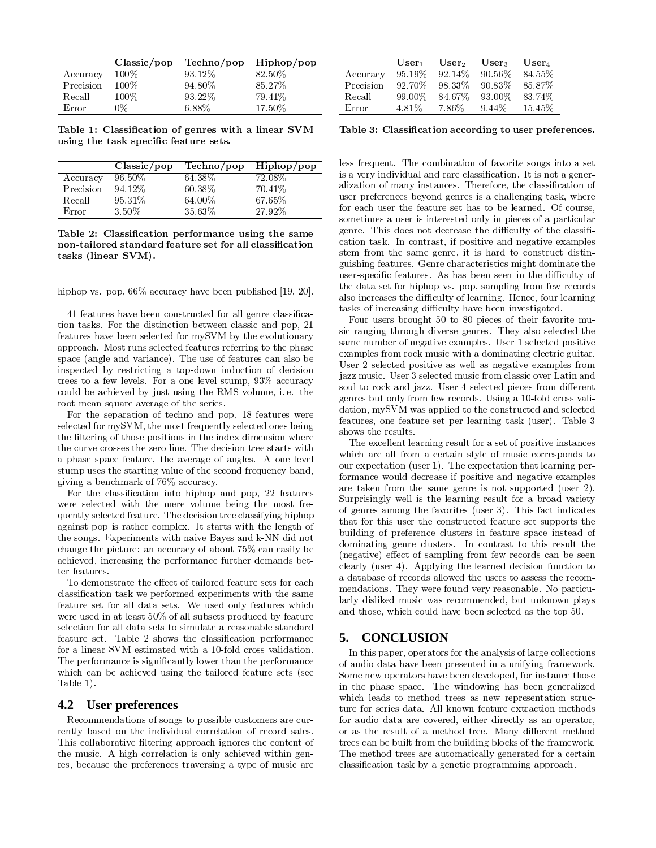|           | $Classic$ /pop | Techno/pop | Hiphop/pop |
|-----------|----------------|------------|------------|
| Accuracy  | $100\%$        | 93.12\%    | 82.50%     |
| Precision | 100\%          | 94.80%     | 85.27%     |
| Recall    | 100%           | 93.22%     | 79.41%     |
| Error     | በ%             | 6.88%      | 17.50%     |

Table 1: Classification of genres with a linear SVM using the task specific feature sets.

|           | $Classic$ /pop | Techno/pop | Hiphop/pop |
|-----------|----------------|------------|------------|
| Accuracy  | 96.50%         | 64.38%     | 72.08%     |
| Precision | 94.12%         | 60.38%     | 70.41%     |
| Recall    | $95.31\%$      | 64.00%     | 67.65%     |
| Error     | 3.50%          | 35.63%     | 27.92%     |

Table 2: Classification performance using the same non-tailored standard feature set for all classification tasks (linear SVM).

hiphop vs. pop,  $66\%$  accuracy have been published [19, 20].

41 features have been constructed for all genre classification tasks. For the distinction between classic and pop, 21 features have been selected for mySVM by the evolutionary approach. Most runs selected features referring to the phase space (angle and variance). The use of features can also be inspected by restricting a top-down induction of decision trees to a few levels. For a one level stump, 93% accuracy could be achieved by just using the RMS volume, i.e. the root mean square average of the series.

For the separation of techno and pop, 18 features were selected for mySVM, the most frequently selected ones being the filtering of those positions in the index dimension where the curve crosses the zero line. The decision tree starts with a phase space feature, the average of angles. A one level stump uses the starting value of the second frequency band, giving a benchmark of 76% accuracy.

For the classification into hiphop and pop, 22 features were selected with the mere volume being the most frequently selected feature. The decision tree classifying hiphop against pop is rather complex. It starts with the length of the songs. Experiments with naive Baves and k-NN did not change the picture: an accuracy of about 75% can easily be achieved, increasing the performance further demands better features.

To demonstrate the effect of tailored feature sets for each classification task we performed experiments with the same feature set for all data sets. We used only features which were used in at least 50% of all subsets produced by feature selection for all data sets to simulate a reasonable standard feature set. Table 2 shows the classification performance for a linear SVM estimated with a 10-fold cross validation. The performance is significantly lower than the performance which can be achieved using the tailored feature sets (see Table  $1$ ).

### 4.2 **User preferences**

Recommendations of songs to possible customers are currently based on the individual correlation of record sales. This collaborative filtering approach ignores the content of the music. A high correlation is only achieved within genres, because the preferences traversing a type of music are

|           | $User_1$ | $User_2$  | $User_3$  | $User_{4}$ |
|-----------|----------|-----------|-----------|------------|
| Accuracy  | 95.19%   | $92.14\%$ | $90.56\%$ | 84.55%     |
| Precision | 92.70%   | 98.33%    | 90.83%    | 85.87%     |
| Recall    | 99.00%   | 84.67%    | 93.00%    | 83.74%     |
| Error     | 4.81\%   | 7.86\%    | $9.44\%$  | 15.45%     |

Table 3: Classification according to user preferences.

less frequent. The combination of favorite songs into a set is a very individual and rare classification. It is not a generalization of many instances. Therefore, the classification of user preferences beyond genres is a challenging task, where for each user the feature set has to be learned. Of course, sometimes a user is interested only in pieces of a particular genre. This does not decrease the difficulty of the classification task. In contrast, if positive and negative examples stem from the same genre, it is hard to construct distinguishing features. Genre characteristics might dominate the user-specific features. As has been seen in the difficulty of the data set for hiphop vs. pop. sampling from few records also increases the difficulty of learning. Hence, four learning tasks of increasing difficulty have been investigated.

Four users brought 50 to 80 pieces of their favorite music ranging through diverse genres. They also selected the same number of negative examples. User 1 selected positive examples from rock music with a dominating electric guitar. User 2 selected positive as well as negative examples from jazz music. User 3 selected music from classic over Latin and soul to rock and jazz. User 4 selected pieces from different genres but only from few records. Using a 10-fold cross validation, mySVM was applied to the constructed and selected features, one feature set per learning task (user). Table 3 shows the results.

The excellent learning result for a set of positive instances which are all from a certain style of music corresponds to our expectation (user 1). The expectation that learning performance would decrease if positive and negative examples are taken from the same genre is not supported (user 2). Surprisingly well is the learning result for a broad variety of genres among the favorites (user 3). This fact indicates that for this user the constructed feature set supports the building of preference clusters in feature space instead of dominating genre clusters. In contrast to this result the (negative) effect of sampling from few records can be seen clearly (user 4). Applying the learned decision function to a database of records allowed the users to assess the recommendations. They were found very reasonable. No particularly disliked music was recommended, but unknown plays and those, which could have been selected as the top 50.

### 5. **CONCLUSION**

In this paper, operators for the analysis of large collections of audio data have been presented in a unifying framework. Some new operators have been developed, for instance those in the phase space. The windowing has been generalized which leads to method trees as new representation structure for series data. All known feature extraction methods for audio data are covered, either directly as an operator or as the result of a method tree. Many different method trees can be built from the building blocks of the framework. The method trees are automatically generated for a certain classification task by a genetic programming approach.